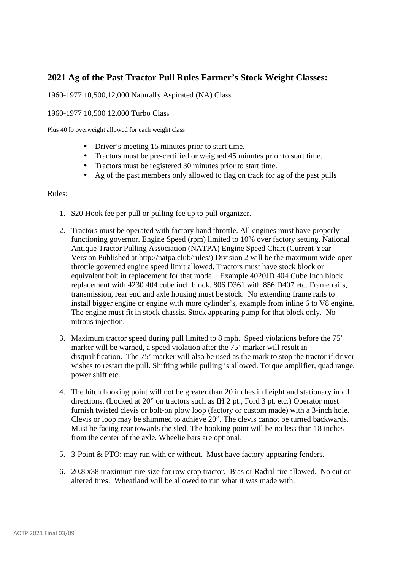## **2021 Ag of the Past Tractor Pull Rules Farmer's Stock Weight Classes:**

## 1960-1977 10,500,12,000 Naturally Aspirated (NA) Class

## 1960-1977 10,500 12,000 Turbo Class

Plus 40 lb overweight allowed for each weight class

- Driver's meeting 15 minutes prior to start time.
- Tractors must be pre-certified or weighed 45 minutes prior to start time.
- Tractors must be registered 30 minutes prior to start time.
- Ag of the past members only allowed to flag on track for ag of the past pulls

## Rules:

- 1. \$20 Hook fee per pull or pulling fee up to pull organizer.
- 2. Tractors must be operated with factory hand throttle. All engines must have properly functioning governor. Engine Speed (rpm) limited to 10% over factory setting. National Antique Tractor Pulling Association (NATPA) Engine Speed Chart (Current Year Version Published at http://natpa.club/rules/) Division 2 will be the maximum wide-open throttle governed engine speed limit allowed. Tractors must have stock block or equivalent bolt in replacement for that model. Example 4020JD 404 Cube Inch block replacement with 4230 404 cube inch block. 806 D361 with 856 D407 etc. Frame rails, transmission, rear end and axle housing must be stock. No extending frame rails to install bigger engine or engine with more cylinder's, example from inline 6 to V8 engine. The engine must fit in stock chassis. Stock appearing pump for that block only. No nitrous injection.
- 3. Maximum tractor speed during pull limited to 8 mph. Speed violations before the 75' marker will be warned, a speed violation after the 75' marker will result in disqualification. The 75' marker will also be used as the mark to stop the tractor if driver wishes to restart the pull. Shifting while pulling is allowed. Torque amplifier, quad range, power shift etc.
- 4. The hitch hooking point will not be greater than 20 inches in height and stationary in all directions. (Locked at 20" on tractors such as IH 2 pt., Ford 3 pt. etc.) Operator must furnish twisted clevis or bolt-on plow loop (factory or custom made) with a 3-inch hole. Clevis or loop may be shimmed to achieve 20". The clevis cannot be turned backwards. Must be facing rear towards the sled. The hooking point will be no less than 18 inches from the center of the axle. Wheelie bars are optional.
- 5. 3-Point & PTO: may run with or without. Must have factory appearing fenders.
- 6. 20.8 x38 maximum tire size for row crop tractor. Bias or Radial tire allowed. No cut or altered tires. Wheatland will be allowed to run what it was made with.